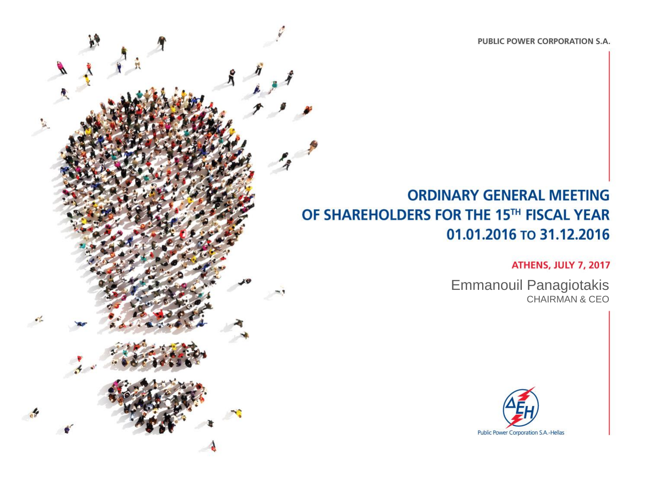PUBLIC POWER CORPORATION S.A.

### **ORDINARY GENERAL MEETING** OF SHAREHOLDERS FOR THE 15TH FISCAL YEAR 01.01.2016 то 31.12.2016

**Αθήνα, 7 Ιουλίου 2017**

**ATHENS, JULY 7, 2017** 

Emmanouil Panagiotakis CHAIRMAN & CEO

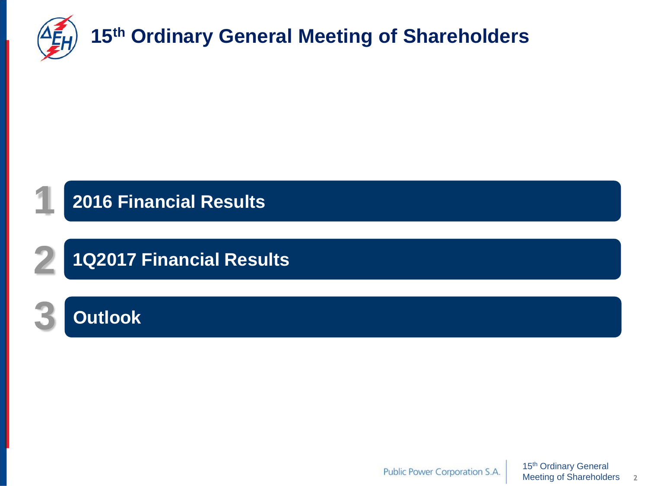

## **2016 Financial Results**

# **1Q2017 Financial Results**

# **3 Outlook**

**1**

**2**

15th Ordinary General Public Power Corporation S.A. Meeting of Shareholders **2**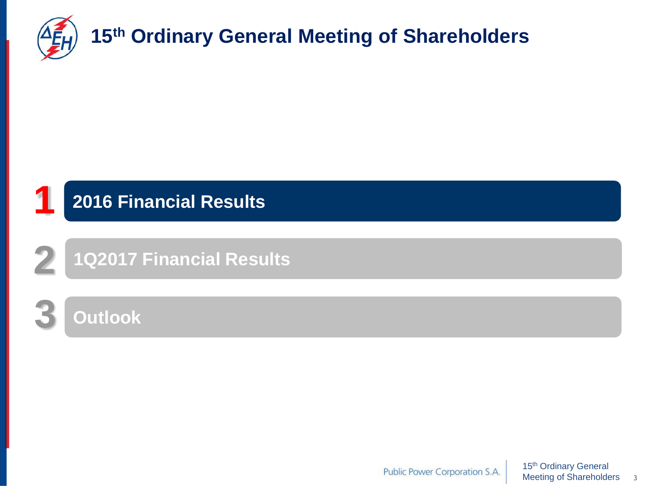

# **1 2016 Financial Results**

**1Q2017 Financial Results**

### **3 Outlook**

**2**

15<sup>th</sup> Ordinary General Public Power Corporation S.A. Meeting of Shareholders **3**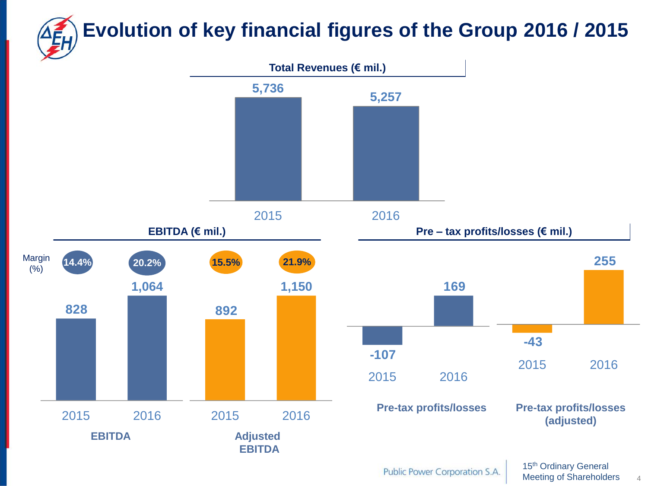# **Total Revenues (€ mil.) Evolution of key financial figures of the Group 2016 / 2015 5,257 5,736**





Public Power Corporation S.A.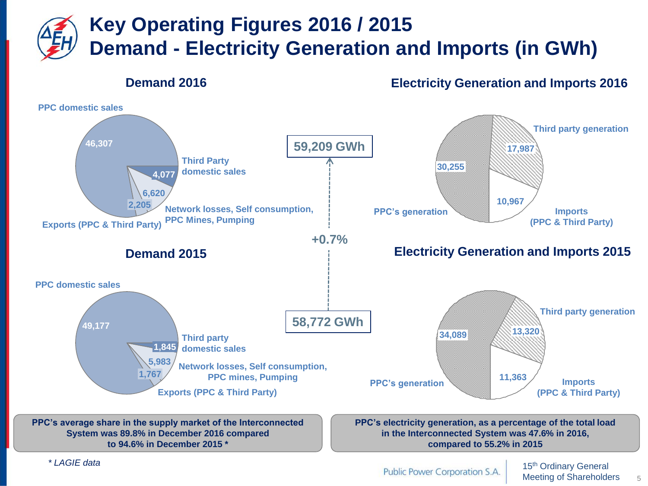# **Key Operating Figures 2016 / 2015 Demand - Electricity Generation and Imports (in GWh)**

#### **Demand 2016**

**Electricity Generation and Imports 2016**



**System was 89.8% in December 2016 compared to 94.6% in December 2015 \***

**in the Interconnected System was 47.6% in 2016, compared to 55.2% in 2015**

*\* LAGIE data*

Public Power Corporation S.A.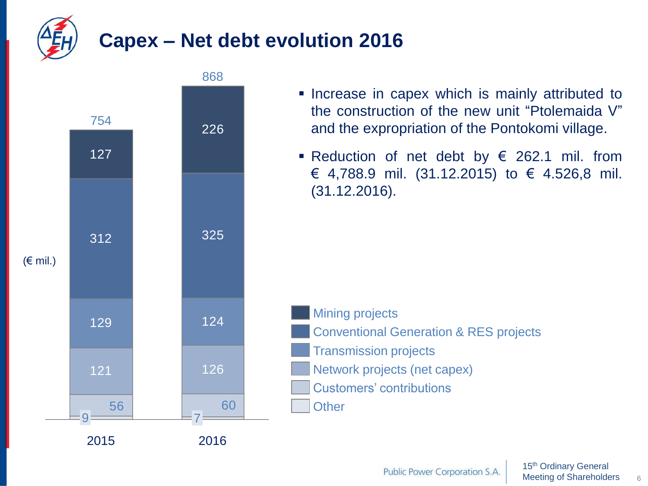

## **Capex – Net debt evolution 2016**



- **Increase in capex which is mainly attributed to** the construction of the new unit "Ptolemaida V" and the expropriation of the Pontokomi village.
- Reduction of net debt by  $\epsilon$  262.1 mil. from € 4,788.9 mil. (31.12.2015) to € 4.526,8 mil. (31.12.2016).

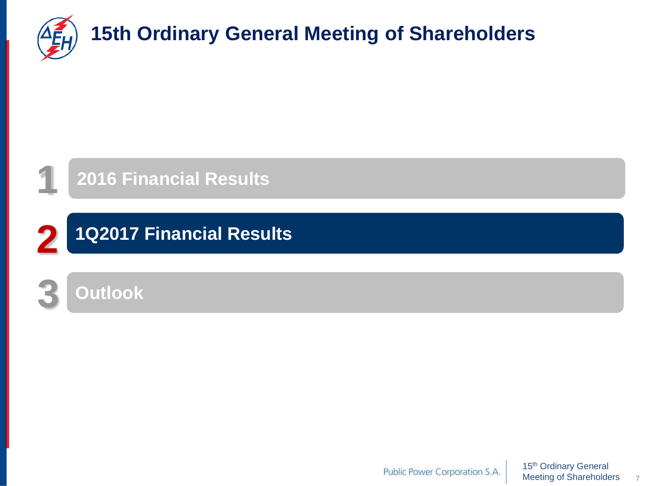

**1**

# **15th Ordinary General Meeting of Shareholders**



**1Q2017 Financial Results 2**



Public Power Corporation S.A.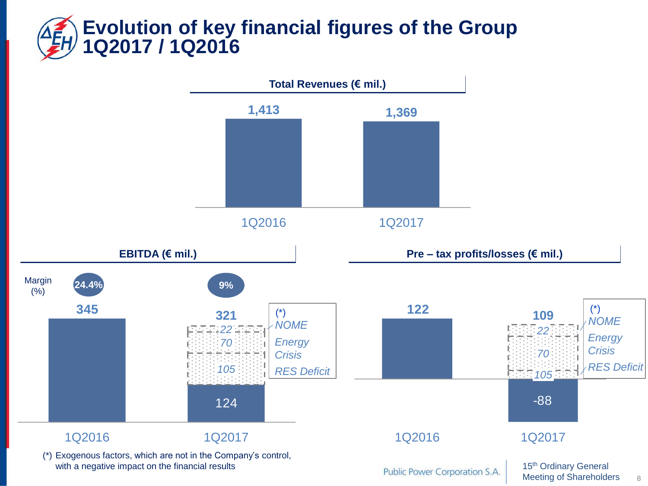## **Evolution of key financial figures of the Group 1Q2017 / 1Q2016**

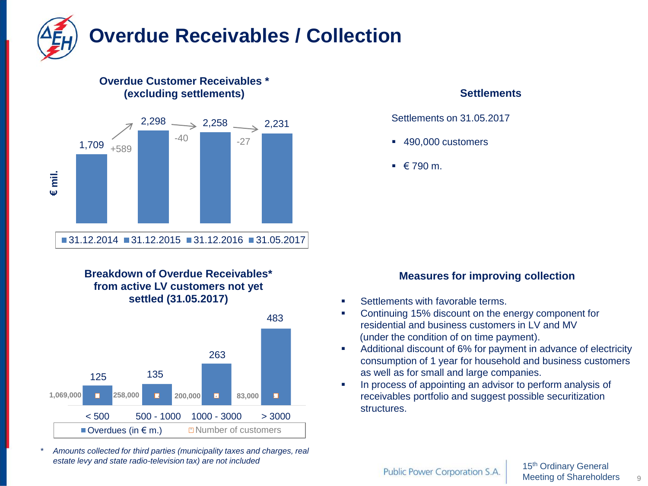

#### **Overdue Customer Receivables \* (excluding settlements)**



#### **Breakdown of Overdue Receivables\* from active LV customers not yet settled (31.05.2017)**



*\* Amounts collected for third parties (municipality taxes and charges, real estate levy and state radio-television tax) are not included* 

#### **Settlements**

Settlements on 31.05.2017

- 490,000 customers
- $\bullet$   $\in$  790 m.

#### **Measures for improving collection**

- **Settlements with favorable terms.**
- **Continuing 15% discount on the energy component for** residential and business customers in LV and MV (under the condition of on time payment).
- Additional discount of 6% for payment in advance of electricity consumption of 1 year for household and business customers as well as for small and large companies.
- **IF** In process of appointing an advisor to perform analysis of receivables portfolio and suggest possible securitization structures.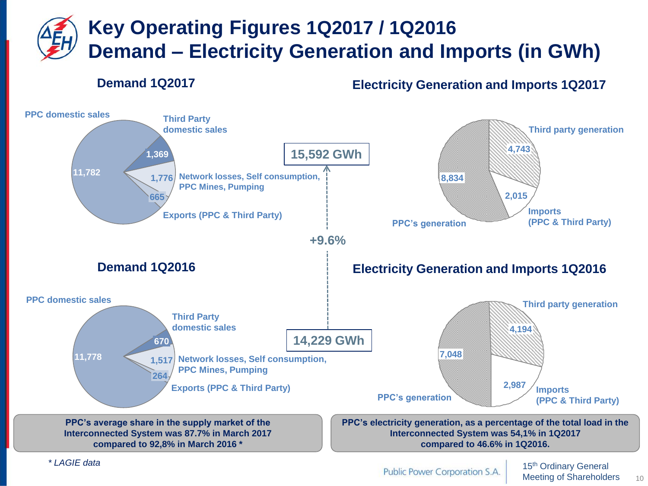# **Key Operating Figures 1Q2017 / 1Q2016 Demand – Electricity Generation and Imports (in GWh)**

#### **Demand 1Q2017**

**Electricity Generation and Imports 1Q2017**



*\* LAGIE data*

Public Power Corporation S.A.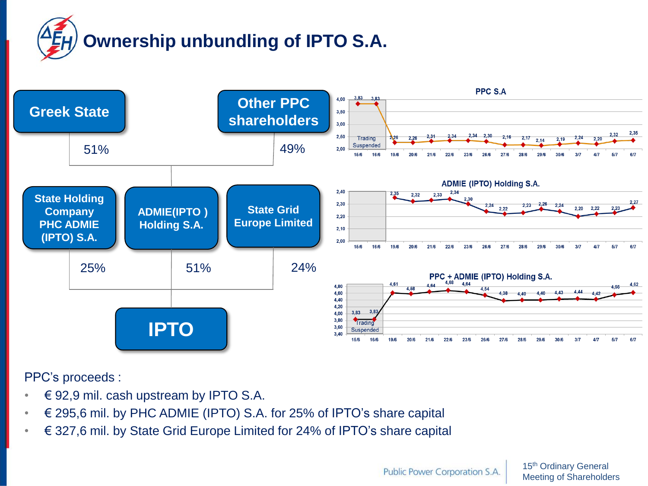# **Ownership unbundling of IPTO S.A.**



PPC's proceeds :

- $\in$  92,9 mil. cash upstream by IPTO S.A.
- € 295,6 mil. by PHC ADMIE (IPTO) S.A. for 25% of IPTO's share capital
- € 327,6 mil. by State Grid Europe Limited for 24% of IPTO's share capital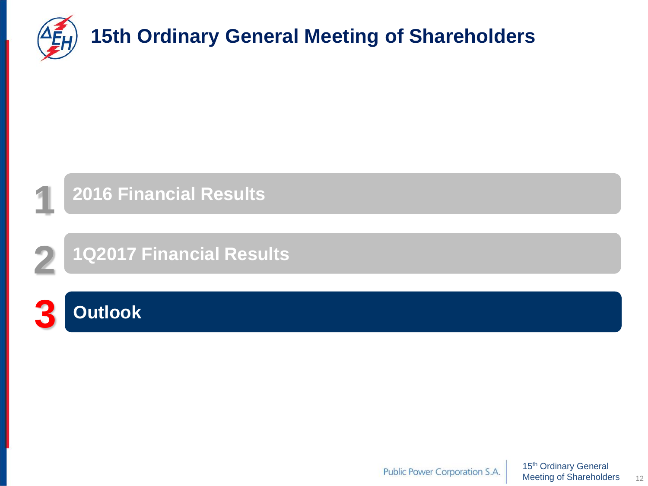

# **15th Ordinary General Meeting of Shareholders**



**1Q2017 Financial Results**



**2**

Public Power Corporation S.A.